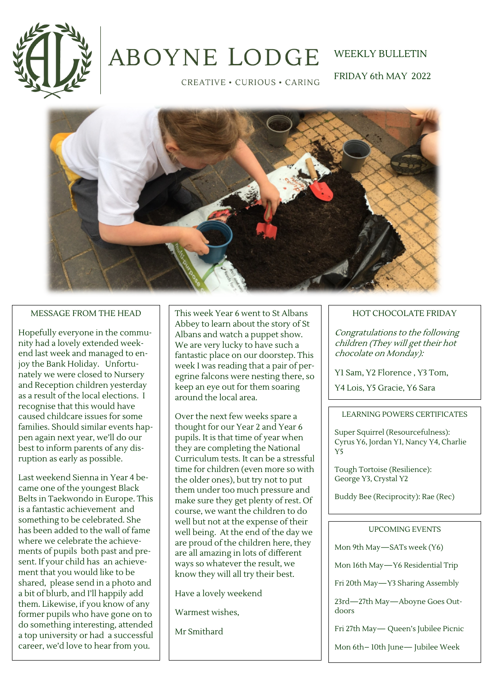

# **ABOYNE LODGE**

# WEEKLY BULLETIN

CREATIVE · CURIOUS · CARING

FRIDAY 6th MAY 2022



#### MESSAGE FROM THE HEAD

Hopefully everyone in the community had a lovely extended weekend last week and managed to enjoy the Bank Holiday. Unfortunately we were closed to Nursery and Reception children yesterday as a result of the local elections. I recognise that this would have caused childcare issues for some families. Should similar events happen again next year, we'll do our best to inform parents of any disruption as early as possible.

Last weekend Sienna in Year 4 became one of the youngest Black Belts in Taekwondo in Europe. This is a fantastic achievement and something to be celebrated. She has been added to the wall of fame where we celebrate the achievements of pupils both past and present. If your child has an achievement that you would like to be shared, please send in a photo and a bit of blurb, and I'll happily add them. Likewise, if you know of any former pupils who have gone on to do something interesting, attended a top university or had a successful career, we'd love to hear from you.

This week Year 6 went to St Albans Abbey to learn about the story of St Albans and watch a puppet show. We are very lucky to have such a fantastic place on our doorstep. This week I was reading that a pair of peregrine falcons were nesting there, so keep an eye out for them soaring around the local area.

Over the next few weeks spare a thought for our Year 2 and Year 6 pupils. It is that time of year when they are completing the National Curriculum tests. It can be a stressful time for children (even more so with the older ones), but try not to put them under too much pressure and make sure they get plenty of rest. Of course, we want the children to do well but not at the expense of their well being. At the end of the day we are proud of the children here, they are all amazing in lots of different ways so whatever the result, we know they will all try their best.

Have a lovely weekend

Warmest wishes,

Mr Smithard

#### HOT CHOCOLATE FRIDAY

Congratulations to the following children (They will get their hot chocolate on Monday):

Y1 Sam, Y2 Florence , Y3 Tom,

Y4 Lois, Y5 Gracie, Y6 Sara

#### LEARNING POWERS CERTIFICATES

Super Squirrel (Resourcefulness): Cyrus Y6, Jordan Y1, Nancy Y4, Charlie Y5

Tough Tortoise (Resilience): George Y3, Crystal Y2

Buddy Bee (Reciprocity): Rae (Rec)

#### UPCOMING EVENTS

Mon 9th May—SATs week (Y6)

Mon 16th May—Y6 Residential Trip

Fri 20th May—Y3 Sharing Assembly

23rd—27th May—Aboyne Goes Outdoors

Fri 27th May— Queen's Jubilee Picnic

Mon 6th– 10th June— Jubilee Week